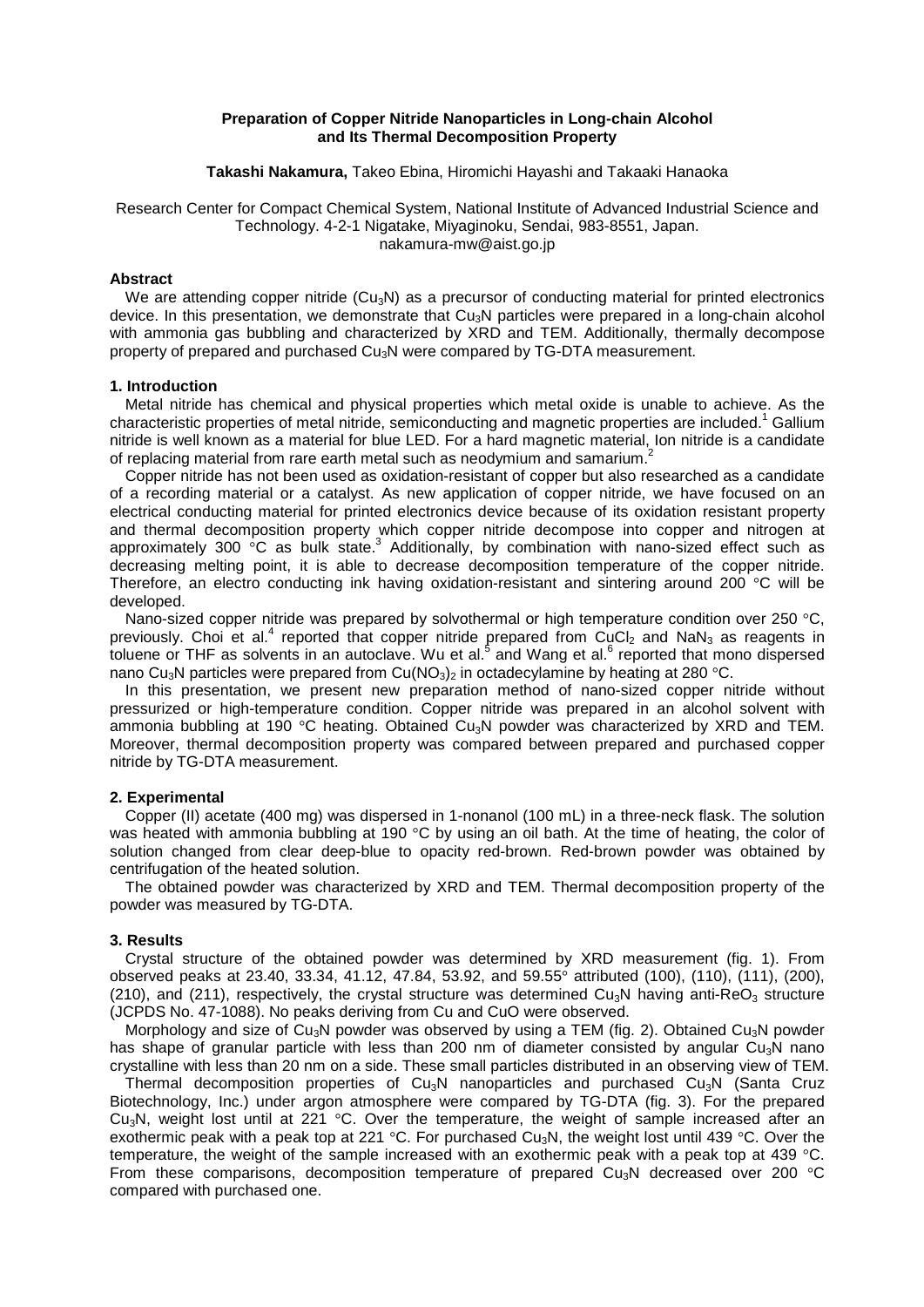## **Preparation of Copper Nitride Nanoparticles in Long-chain Alcohol and Its Thermal Decomposition Property**

**Takashi Nakamura,** Takeo Ebina, Hiromichi Hayashi and Takaaki Hanaoka

# Research Center for Compact Chemical System, National Institute of Advanced Industrial Science and Technology. 4-2-1 Nigatake, Miyaginoku, Sendai, 983-8551, Japan. nakamura-mw@aist.go.jp

# **Abstract**

We are attending copper nitride ( $Cu<sub>3</sub>N$ ) as a precursor of conducting material for printed electronics device. In this presentation, we demonstrate that  $Cu<sub>3</sub>N$  particles were prepared in a long-chain alcohol with ammonia gas bubbling and characterized by XRD and TEM. Additionally, thermally decompose property of prepared and purchased Cu3N were compared by TG-DTA measurement.

### **1. Introduction**

Metal nitride has chemical and physical properties which metal oxide is unable to achieve. As the characteristic properties of metal nitride, semiconducting and magnetic properties are included.<sup>1</sup> Gallium nitride is well known as a material for blue LED. For a hard magnetic material, Ion nitride is a candidate of replacing material from rare earth metal such as neodymium and samarium.<sup>2</sup>

Copper nitride has not been used as oxidation-resistant of copper but also researched as a candidate of a recording material or a catalyst. As new application of copper nitride, we have focused on an electrical conducting material for printed electronics device because of its oxidation resistant property and thermal decomposition property which copper nitride decompose into copper and nitrogen at approximately 300  $\degree$ C as bulk state.<sup>3</sup> Additionally, by combination with nano-sized effect such as decreasing melting point, it is able to decrease decomposition temperature of the copper nitride. Therefore, an electro conducting ink having oxidation-resistant and sintering around 200 °C will be developed.

Nano-sized copper nitride was prepared by solvothermal or high temperature condition over 250 °C. previously. Choi et al.<sup>4</sup> reported that copper nitride prepared from CuCl<sub>2</sub> and NaN<sub>3</sub> as reagents in toluene or THF as solvents in an autoclave. Wu et al.<sup>5</sup> and Wang et al.<sup>6</sup> reported that mono dispersed nano Cu<sub>3</sub>N particles were prepared from Cu(NO<sub>3</sub>)<sub>2</sub> in octadecylamine by heating at 280 °C.

In this presentation, we present new preparation method of nano-sized copper nitride without pressurized or high-temperature condition. Copper nitride was prepared in an alcohol solvent with ammonia bubbling at 190  $\degree$ C heating. Obtained Cu<sub>3</sub>N powder was characterized by XRD and TEM. Moreover, thermal decomposition property was compared between prepared and purchased copper nitride by TG-DTA measurement.

### **2. Experimental**

Copper (II) acetate (400 mg) was dispersed in 1-nonanol (100 mL) in a three-neck flask. The solution was heated with ammonia bubbling at 190 °C by using an oil bath. At the time of heating, the color of solution changed from clear deep-blue to opacity red-brown. Red-brown powder was obtained by centrifugation of the heated solution.

The obtained powder was characterized by XRD and TEM. Thermal decomposition property of the powder was measured by TG-DTA.

### **3. Results**

Crystal structure of the obtained powder was determined by XRD measurement (fig. 1). From observed peaks at 23.40, 33.34, 41.12, 47.84, 53.92, and 59.55° attributed (100), (110), (111), (200), (210), and (211), respectively, the crystal structure was determined Cu<sub>3</sub>N having anti-ReO<sub>3</sub> structure (JCPDS No. 47-1088). No peaks deriving from Cu and CuO were observed.

Morphology and size of Cu<sub>3</sub>N powder was observed by using a TEM (fig. 2). Obtained Cu<sub>3</sub>N powder has shape of granular particle with less than 200 nm of diameter consisted by angular Cu<sub>3</sub>N nano crystalline with less than 20 nm on a side. These small particles distributed in an observing view of TEM.

Thermal decomposition properties of  $Cu<sub>3</sub>N$  nanoparticles and purchased  $Cu<sub>3</sub>N$  (Santa Cruz Biotechnology, Inc.) under argon atmosphere were compared by TG-DTA (fig. 3). For the prepared Cu<sub>3</sub>N, weight lost until at 221  $\degree$ C. Over the temperature, the weight of sample increased after an exothermic peak with a peak top at 221 °C. For purchased Cu<sub>3</sub>N, the weight lost until 439 °C. Over the temperature, the weight of the sample increased with an exothermic peak with a peak top at 439 °C. From these comparisons, decomposition temperature of prepared  $Cu<sub>3</sub>N$  decreased over 200  $°C$ compared with purchased one.